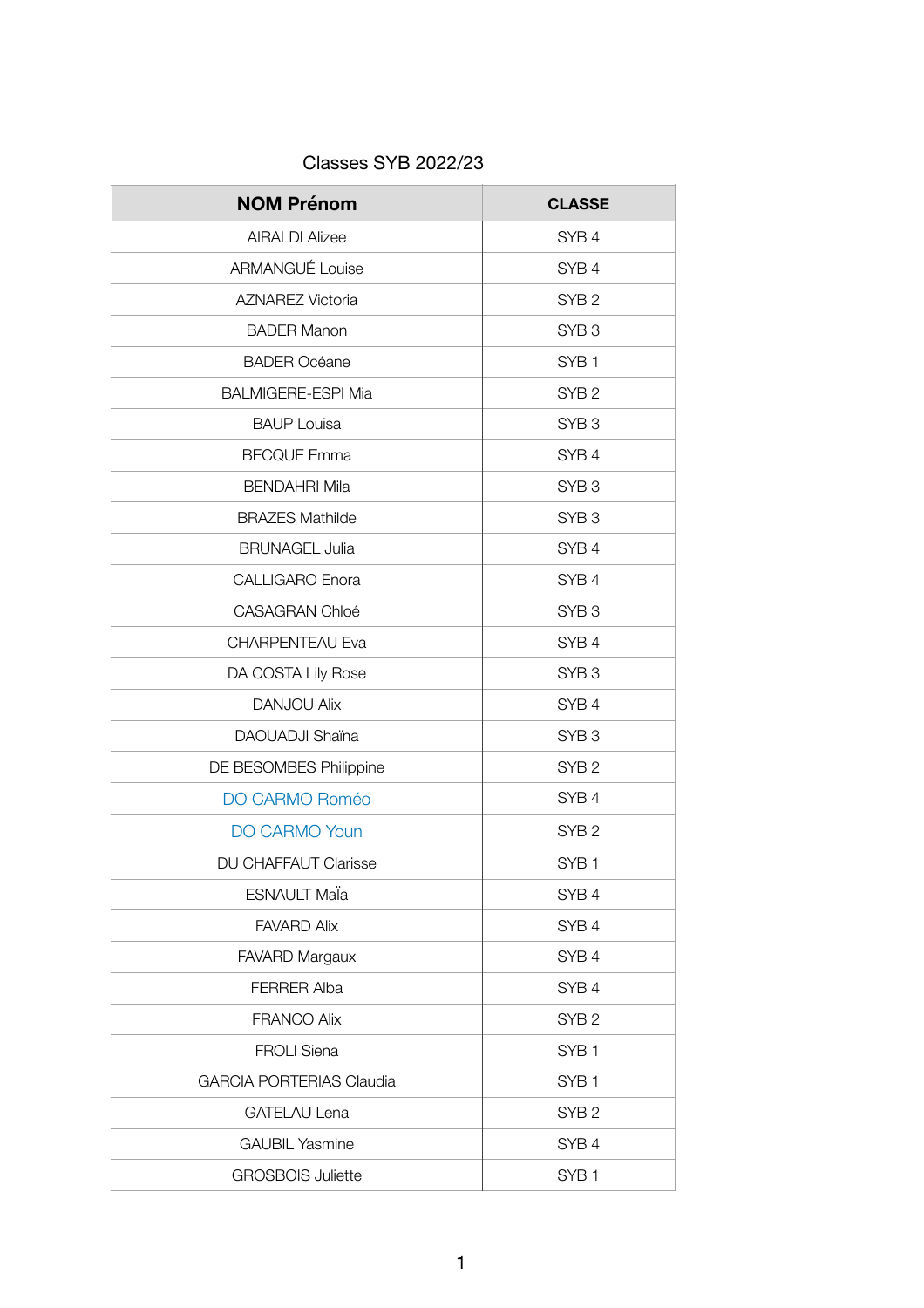| <b>Classes SYB 2022/23</b> |  |  |
|----------------------------|--|--|
|----------------------------|--|--|

| <b>NOM Prénom</b>               | <b>CLASSE</b>    |
|---------------------------------|------------------|
| <b>AIRALDI Alizee</b>           | SYB <sub>4</sub> |
| <b>ARMANGUÉ Louise</b>          | SYB <sub>4</sub> |
| <b>AZNAREZ Victoria</b>         | SYB <sub>2</sub> |
| <b>BADER Manon</b>              | SYB <sub>3</sub> |
| <b>BADER Océane</b>             | SYB <sub>1</sub> |
| <b>BALMIGERE-ESPI Mia</b>       | SYB <sub>2</sub> |
| <b>BAUP Louisa</b>              | SYB <sub>3</sub> |
| <b>BECQUE Emma</b>              | SYB <sub>4</sub> |
| <b>BENDAHRI Mila</b>            | SYB <sub>3</sub> |
| <b>BRAZES Mathilde</b>          | SYB <sub>3</sub> |
| <b>BRUNAGEL Julia</b>           | SYB <sub>4</sub> |
| <b>CALLIGARO Enora</b>          | SYB <sub>4</sub> |
| <b>CASAGRAN Chloé</b>           | SYB <sub>3</sub> |
| <b>CHARPENTEAU Eva</b>          | SYB <sub>4</sub> |
| DA COSTA Lily Rose              | SYB <sub>3</sub> |
| <b>DANJOU Alix</b>              | SYB <sub>4</sub> |
| DAOUADJI Shaïna                 | SYB <sub>3</sub> |
| DE BESOMBES Philippine          | SYB <sub>2</sub> |
| <b>DO CARMO Roméo</b>           | SYB <sub>4</sub> |
| <b>DO CARMO Youn</b>            | SYB <sub>2</sub> |
| <b>DU CHAFFAUT Clarisse</b>     | SYB <sub>1</sub> |
| <b>ESNAULT Mala</b>             | SYB <sub>4</sub> |
| <b>FAVARD Alix</b>              | SYB <sub>4</sub> |
| <b>FAVARD Margaux</b>           | SYB <sub>4</sub> |
| <b>FERRER Alba</b>              | SYB <sub>4</sub> |
| <b>FRANCO Alix</b>              | SYB <sub>2</sub> |
| <b>FROLI Siena</b>              | SYB <sub>1</sub> |
| <b>GARCIA PORTERIAS Claudia</b> | SYB <sub>1</sub> |
| <b>GATELAU Lena</b>             | SYB <sub>2</sub> |
| <b>GAUBIL Yasmine</b>           | SYB <sub>4</sub> |
| <b>GROSBOIS Juliette</b>        | SYB <sub>1</sub> |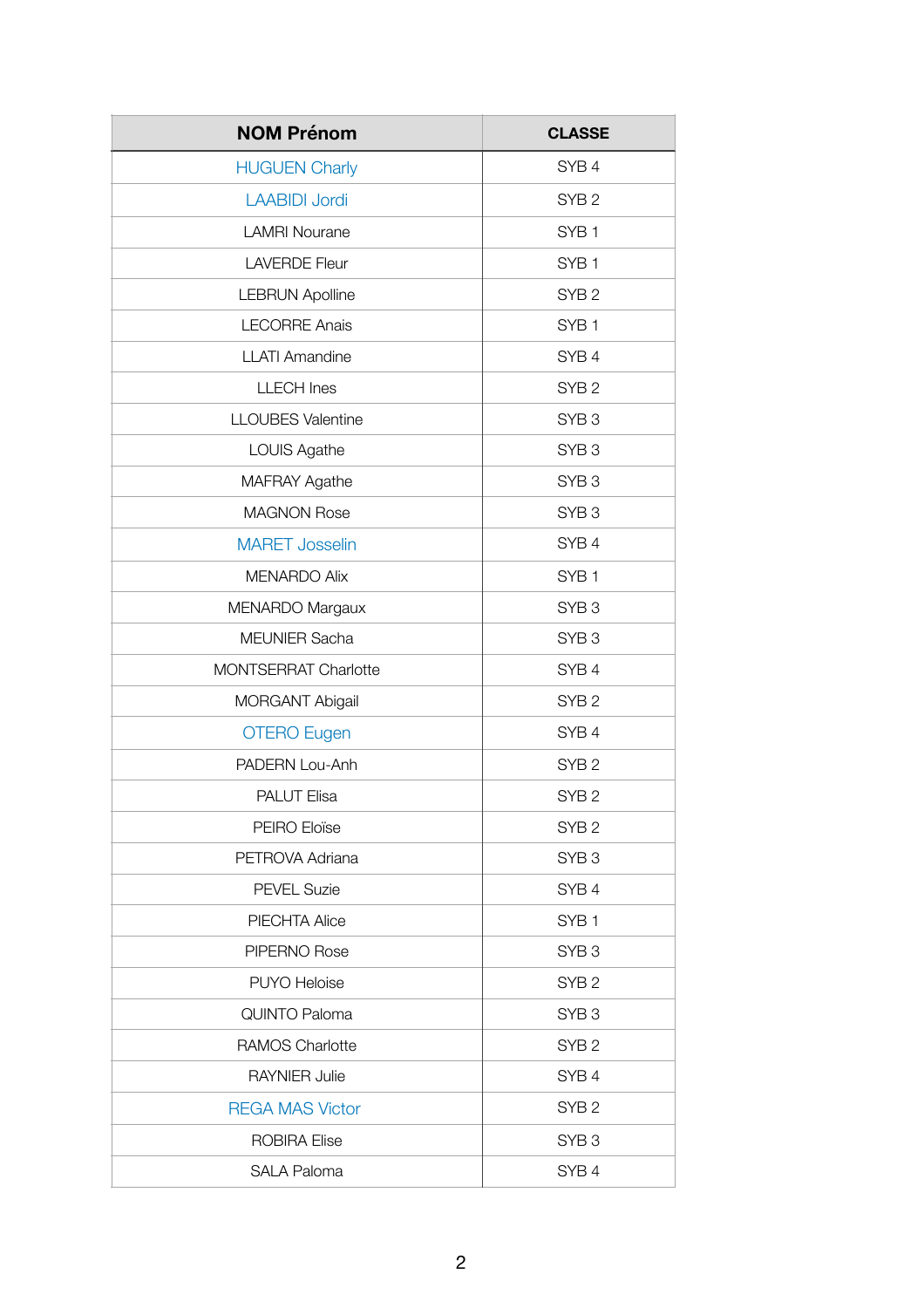| <b>NOM Prénom</b>           | <b>CLASSE</b>    |
|-----------------------------|------------------|
| <b>HUGUEN Charly</b>        | SYB <sub>4</sub> |
| <b>LAABIDI Jordi</b>        | SYB <sub>2</sub> |
| <b>LAMRI Nourane</b>        | SYB <sub>1</sub> |
| <b>LAVERDE Fleur</b>        | SYB <sub>1</sub> |
| <b>LEBRUN Apolline</b>      | SYB <sub>2</sub> |
| <b>LECORRE Anais</b>        | SYB <sub>1</sub> |
| <b>LLATI Amandine</b>       | SYB <sub>4</sub> |
| <b>LLECH Ines</b>           | SYB <sub>2</sub> |
| <b>LLOUBES Valentine</b>    | SYB <sub>3</sub> |
| LOUIS Agathe                | SYB <sub>3</sub> |
| <b>MAFRAY Agathe</b>        | SYB <sub>3</sub> |
| <b>MAGNON Rose</b>          | SYB <sub>3</sub> |
| <b>MARET Josselin</b>       | SYB <sub>4</sub> |
| <b>MENARDO Alix</b>         | SYB <sub>1</sub> |
| MENARDO Margaux             | SYB <sub>3</sub> |
| <b>MEUNIER Sacha</b>        | SYB <sub>3</sub> |
| <b>MONTSERRAT Charlotte</b> | SYB <sub>4</sub> |
| <b>MORGANT Abigail</b>      | SYB <sub>2</sub> |
| <b>OTERO Eugen</b>          | SYB <sub>4</sub> |
| PADERN Lou-Anh              | SYB <sub>2</sub> |
| <b>PALUT Elisa</b>          | SYB <sub>2</sub> |
| PEIRO Eloïse                | SYB <sub>2</sub> |
| PETROVA Adriana             | SYB <sub>3</sub> |
| <b>PEVEL Suzie</b>          | SYB <sub>4</sub> |
| <b>PIECHTA Alice</b>        | SYB <sub>1</sub> |
| PIPERNO Rose                | SYB <sub>3</sub> |
| <b>PUYO Heloise</b>         | SYB <sub>2</sub> |
| <b>QUINTO Paloma</b>        | SYB <sub>3</sub> |
| <b>RAMOS Charlotte</b>      | SYB <sub>2</sub> |
| <b>RAYNIER Julie</b>        | SYB <sub>4</sub> |
| <b>REGA MAS Victor</b>      | SYB <sub>2</sub> |
| <b>ROBIRA Elise</b>         | SYB <sub>3</sub> |
| <b>SALA Paloma</b>          | SYB <sub>4</sub> |